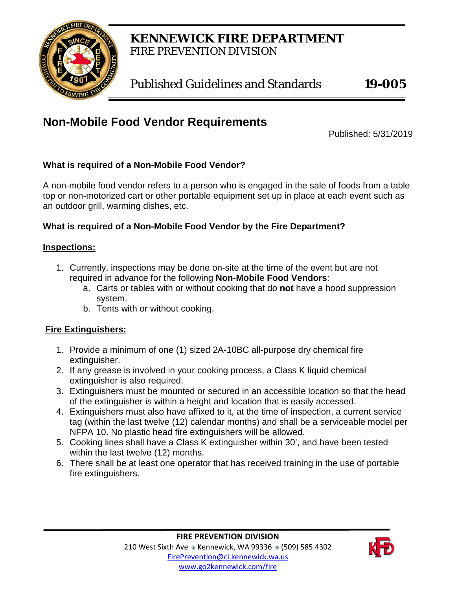

**KENNEWICK FIRE DEPARTMENT** FIRE PREVENTION DIVISION

Published Guidelines and Standards **19-005**

# **Non-Mobile Food Vendor Requirements**

Published: 5/31/2019

#### **What is required of a Non-Mobile Food Vendor?**

A non-mobile food vendor refers to a person who is engaged in the sale of foods from a table top or non-motorized cart or other portable equipment set up in place at each event such as an outdoor grill, warming dishes, etc.

#### **What is required of a Non-Mobile Food Vendor by the Fire Department?**

#### **Inspections:**

- 1. Currently, inspections may be done on-site at the time of the event but are not required in advance for the following **Non-Mobile Food Vendors**:
	- a. Carts or tables with or without cooking that do **not** have a hood suppression system.
	- b. Tents with or without cooking.

## **Fire Extinguishers:**

- 1. Provide a minimum of one (1) sized 2A-10BC all-purpose dry chemical fire extinguisher.
- 2. If any grease is involved in your cooking process, a Class K liquid chemical extinguisher is also required.
- 3. Extinguishers must be mounted or secured in an accessible location so that the head of the extinguisher is within a height and location that is easily accessed.
- 4. Extinguishers must also have affixed to it, at the time of inspection, a current service tag (within the last twelve (12) calendar months) and shall be a serviceable model per NFPA 10. No plastic head fire extinguishers will be allowed.
- 5. Cooking lines shall have a Class K extinguisher within 30', and have been tested within the last twelve (12) months.
- 6. There shall be at least one operator that has received training in the use of portable fire extinguishers.